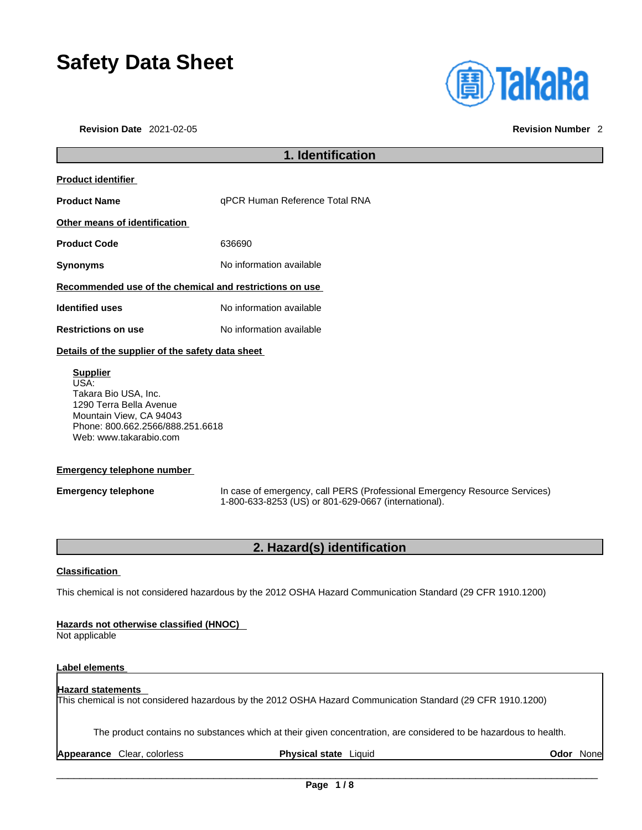# **Safety Data Sheet**

**Revision Date** 2021-02-05 **Revision Number** 2



### **1. Identification Product identifier Product Name department of the STAR Human Reference Total RNA Other means of identification Product Code** 636690 **Synonyms** No information available **Recommended use of the chemical and restrictions on use Identified uses** No information available **Restrictions on use** No information available **Details of the supplier of the safety data sheet Supplier** USA: Takara Bio USA, Inc. 1290 Terra Bella Avenue Mountain View, CA 94043

### **Emergency telephone number**

Web: www.takarabio.com

Phone: 800.662.2566/888.251.6618

**Emergency telephone** In case of emergency, call PERS (Professional Emergency Resource Services) 1-800-633-8253 (US) or 801-629-0667 (international).

### **2. Hazard(s) identification**

### **Classification**

This chemical is not considered hazardous by the 2012 OSHA Hazard Communication Standard (29 CFR 1910.1200)

### **Hazards not otherwise classified (HNOC)**

Not applicable

### **Label elements**

#### **Hazard statements**  This chemical is not considered hazardous by the 2012 OSHA Hazard Communication Standard (29 CFR 1910.1200)

The product contains no substances which at their given concentration, are considered to be hazardous to health.

**Appearance** Clear, colorless **Physical state** Liquid **Odor** None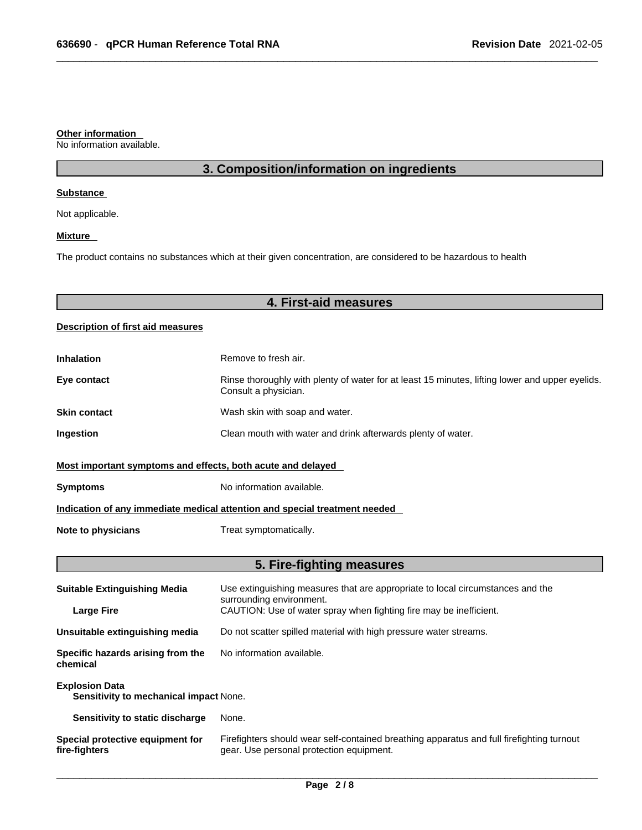#### **Other information**

No information available.

### **3. Composition/information on ingredients**

### **Substance**

Not applicable.

### **Mixture**

The product contains no substances which at their given concentration, are considered to be hazardous to health

### **4. First-aid measures**

### **Description of first aid measures**

| <b>Inhalation</b>                                                          | Remove to fresh air.                                                                                                    |  |
|----------------------------------------------------------------------------|-------------------------------------------------------------------------------------------------------------------------|--|
| Eye contact                                                                | Rinse thoroughly with plenty of water for at least 15 minutes, lifting lower and upper eyelids.<br>Consult a physician. |  |
| <b>Skin contact</b>                                                        | Wash skin with soap and water.                                                                                          |  |
| Ingestion                                                                  | Clean mouth with water and drink afterwards plenty of water.                                                            |  |
| Most important symptoms and effects, both acute and delayed                |                                                                                                                         |  |
| <b>Symptoms</b>                                                            | No information available.                                                                                               |  |
| Indication of any immediate medical attention and special treatment needed |                                                                                                                         |  |
| Note to physicians                                                         | Treat symptomatically.                                                                                                  |  |

### **5. Fire-fighting measures**

| <b>Suitable Extinguishing Media</b>                             | Use extinguishing measures that are appropriate to local circumstances and the<br>surrounding environment.                            |  |
|-----------------------------------------------------------------|---------------------------------------------------------------------------------------------------------------------------------------|--|
| <b>Large Fire</b>                                               | CAUTION: Use of water spray when fighting fire may be inefficient.                                                                    |  |
| Unsuitable extinguishing media                                  | Do not scatter spilled material with high pressure water streams.                                                                     |  |
| Specific hazards arising from the<br>chemical                   | No information available.                                                                                                             |  |
| <b>Explosion Data</b><br>Sensitivity to mechanical impact None. |                                                                                                                                       |  |
| Sensitivity to static discharge                                 | None.                                                                                                                                 |  |
| Special protective equipment for<br>fire-fighters               | Firefighters should wear self-contained breathing apparatus and full firefighting turnout<br>gear. Use personal protection equipment. |  |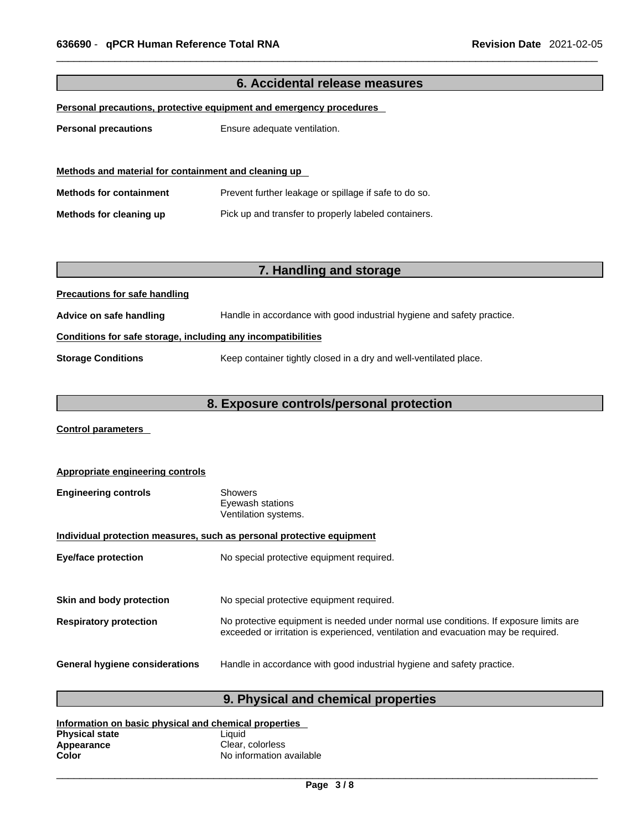| 6. Accidental release measures                               |                                                                        |  |  |
|--------------------------------------------------------------|------------------------------------------------------------------------|--|--|
|                                                              | Personal precautions, protective equipment and emergency procedures    |  |  |
|                                                              |                                                                        |  |  |
| <b>Personal precautions</b>                                  | Ensure adequate ventilation.                                           |  |  |
|                                                              |                                                                        |  |  |
| Methods and material for containment and cleaning up         |                                                                        |  |  |
| <b>Methods for containment</b>                               | Prevent further leakage or spillage if safe to do so.                  |  |  |
| Methods for cleaning up                                      | Pick up and transfer to properly labeled containers.                   |  |  |
|                                                              |                                                                        |  |  |
|                                                              |                                                                        |  |  |
|                                                              | 7. Handling and storage                                                |  |  |
| <b>Precautions for safe handling</b>                         |                                                                        |  |  |
| Advice on safe handling                                      | Handle in accordance with good industrial hygiene and safety practice. |  |  |
| Conditions for safe storage, including any incompatibilities |                                                                        |  |  |
| <b>Storage Conditions</b>                                    | Keep container tightly closed in a dry and well-ventilated place.      |  |  |
|                                                              |                                                                        |  |  |
|                                                              | 8. Exposure controls/personal protection                               |  |  |
|                                                              |                                                                        |  |  |

**Control parameters** 

| <b>Appropriate engineering controls</b>                               |                                                                                                                                                                             |  |
|-----------------------------------------------------------------------|-----------------------------------------------------------------------------------------------------------------------------------------------------------------------------|--|
| <b>Engineering controls</b>                                           | <b>Showers</b><br>Eyewash stations<br>Ventilation systems.                                                                                                                  |  |
| Individual protection measures, such as personal protective equipment |                                                                                                                                                                             |  |
| <b>Eye/face protection</b>                                            | No special protective equipment required.                                                                                                                                   |  |
|                                                                       |                                                                                                                                                                             |  |
| Skin and body protection                                              | No special protective equipment required.                                                                                                                                   |  |
| <b>Respiratory protection</b>                                         | No protective equipment is needed under normal use conditions. If exposure limits are<br>exceeded or irritation is experienced, ventilation and evacuation may be required. |  |
| <b>General hygiene considerations</b>                                 | Handle in accordance with good industrial hygiene and safety practice.                                                                                                      |  |

## **9. Physical and chemical properties**

| Information on basic physical and chemical properties |                          |  |
|-------------------------------------------------------|--------------------------|--|
| <b>Physical state</b>                                 | Liauid                   |  |
| Appearance                                            | Clear, colorless         |  |
| Color                                                 | No information available |  |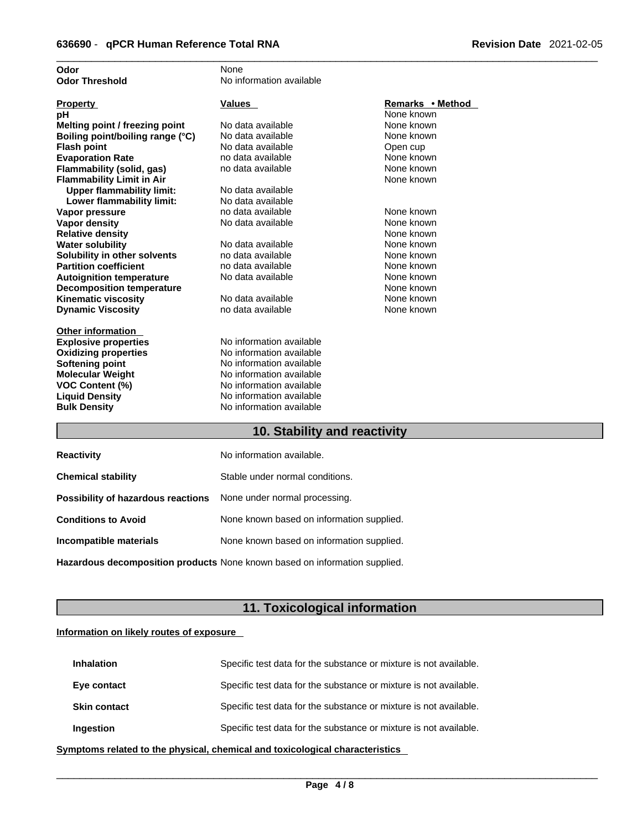| Odor                                         | None                                                 |                  |
|----------------------------------------------|------------------------------------------------------|------------------|
| <b>Odor Threshold</b>                        | No information available                             |                  |
|                                              |                                                      |                  |
| <b>Property</b>                              | <b>Values</b>                                        | Remarks • Method |
| рH                                           |                                                      | None known       |
| Melting point / freezing point               | No data available                                    | None known       |
| Boiling point/boiling range (°C)             | No data available                                    | None known       |
| <b>Flash point</b>                           | No data available                                    | Open cup         |
| <b>Evaporation Rate</b>                      | no data available                                    | None known       |
| Flammability (solid, gas)                    | no data available                                    | None known       |
| <b>Flammability Limit in Air</b>             |                                                      | None known       |
| <b>Upper flammability limit:</b>             | No data available                                    |                  |
| Lower flammability limit:                    | No data available                                    |                  |
| Vapor pressure                               | no data available                                    | None known       |
| <b>Vapor density</b>                         | No data available                                    | None known       |
| <b>Relative density</b>                      |                                                      | None known       |
| <b>Water solubility</b>                      | No data available                                    | None known       |
| Solubility in other solvents                 | no data available                                    | None known       |
| <b>Partition coefficient</b>                 | no data available                                    | None known       |
| <b>Autoignition temperature</b>              | No data available                                    | None known       |
| <b>Decomposition temperature</b>             |                                                      | None known       |
| <b>Kinematic viscosity</b>                   | No data available                                    | None known       |
| <b>Dynamic Viscosity</b>                     | no data available                                    | None known       |
|                                              |                                                      |                  |
| <b>Other information</b>                     | No information available                             |                  |
| <b>Explosive properties</b>                  |                                                      |                  |
| <b>Oxidizing properties</b>                  | No information available                             |                  |
| Softening point<br><b>Molecular Weight</b>   | No information available<br>No information available |                  |
|                                              | No information available                             |                  |
| <b>VOC Content (%)</b>                       | No information available                             |                  |
| <b>Liquid Density</b><br><b>Bulk Density</b> | No information available                             |                  |
|                                              |                                                      |                  |
|                                              |                                                      |                  |

### **10. Stability and reactivity**

| <b>Reactivity</b>                                                       | No information available.                 |
|-------------------------------------------------------------------------|-------------------------------------------|
| <b>Chemical stability</b>                                               | Stable under normal conditions.           |
| <b>Possibility of hazardous reactions</b> None under normal processing. |                                           |
| <b>Conditions to Avoid</b>                                              | None known based on information supplied. |
| Incompatible materials                                                  | None known based on information supplied. |
|                                                                         |                                           |

**Hazardous decomposition products** None known based on information supplied.

### **11. Toxicological information**

### **Information on likely routes of exposure**

| <b>Inhalation</b>   | Specific test data for the substance or mixture is not available. |
|---------------------|-------------------------------------------------------------------|
| Eye contact         | Specific test data for the substance or mixture is not available. |
| <b>Skin contact</b> | Specific test data for the substance or mixture is not available. |
| <b>Ingestion</b>    | Specific test data for the substance or mixture is not available. |

**<u>Symptoms related to the physical, chemical and toxicological characteristics</u>**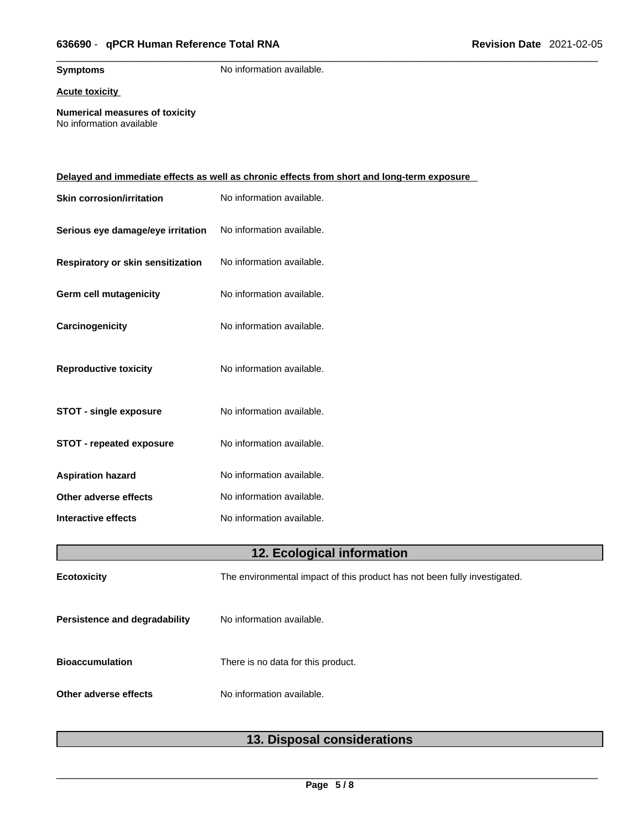**Symptoms** No information available.

### **Acute toxicity**

**Numerical measures of toxicity** No information available

| Delayed and immediate effects as well as chronic effects from short and long-term exposure |                                                                           |  |
|--------------------------------------------------------------------------------------------|---------------------------------------------------------------------------|--|
| <b>Skin corrosion/irritation</b>                                                           | No information available.                                                 |  |
| Serious eye damage/eye irritation                                                          | No information available.                                                 |  |
| Respiratory or skin sensitization                                                          | No information available.                                                 |  |
| <b>Germ cell mutagenicity</b>                                                              | No information available.                                                 |  |
| Carcinogenicity                                                                            | No information available.                                                 |  |
| <b>Reproductive toxicity</b>                                                               | No information available.                                                 |  |
| <b>STOT - single exposure</b>                                                              | No information available.                                                 |  |
| <b>STOT - repeated exposure</b>                                                            | No information available.                                                 |  |
| <b>Aspiration hazard</b>                                                                   | No information available.                                                 |  |
| Other adverse effects                                                                      | No information available.                                                 |  |
| <b>Interactive effects</b>                                                                 | No information available.                                                 |  |
|                                                                                            | 12. Ecological information                                                |  |
| <b>Ecotoxicity</b>                                                                         | The environmental impact of this product has not been fully investigated. |  |
| <b>Persistence and degradability</b>                                                       | No information available.                                                 |  |
| <b>Bioaccumulation</b>                                                                     | There is no data for this product.                                        |  |
| Other adverse effects                                                                      | No information available.                                                 |  |

### **13. Disposal considerations**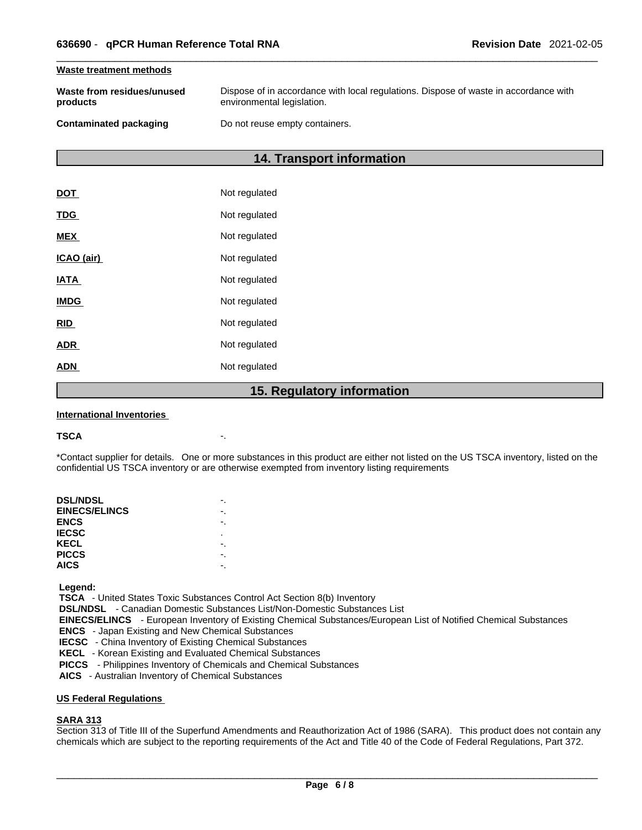#### **Waste treatment methods**

| Waste from residues/unused | Dispose of in accordance with local regulations. Dispose of waste in accordance with |
|----------------------------|--------------------------------------------------------------------------------------|
| products                   | environmental legislation.                                                           |
|                            |                                                                                      |

### **Contaminated packaging Do not reuse empty containers.**

### **14. Transport information**

|             | 1 F<br><b>Dogulator</b> |
|-------------|-------------------------|
| <b>ADN</b>  | Not regulated           |
| <b>ADR</b>  | Not regulated           |
| <b>RID</b>  | Not regulated           |
| <b>IMDG</b> | Not regulated           |
| <b>IATA</b> | Not regulated           |
| ICAO (air)  | Not regulated           |
| <b>MEX</b>  | Not regulated           |
| <b>TDG</b>  | Not regulated           |
| DOT         | Not regulated           |

### **15. Regulatory information**

#### **International Inventories**

#### **TSCA** -.

\*Contact supplier for details. One or more substances in this product are either not listed on the US TSCA inventory, listed on the confidential US TSCA inventory or are otherwise exempted from inventory listing requirements

| <b>DSL/NDSL</b>      |   |
|----------------------|---|
| <b>EINECS/ELINCS</b> |   |
| <b>ENCS</b>          |   |
| <b>IECSC</b>         | ٠ |
| KECL                 |   |
| <b>PICCS</b>         |   |
| <b>AICS</b>          |   |
|                      |   |

 **Legend:** 

 **TSCA** - United States Toxic Substances Control Act Section 8(b) Inventory

 **DSL/NDSL** - Canadian Domestic Substances List/Non-Domestic Substances List

 **EINECS/ELINCS** - European Inventory of Existing Chemical Substances/European List of Notified Chemical Substances

 **ENCS** - Japan Existing and New Chemical Substances

 **IECSC** - China Inventory of Existing Chemical Substances

 **KECL** - Korean Existing and Evaluated Chemical Substances

 **PICCS** - Philippines Inventory of Chemicals and Chemical Substances

 **AICS** - Australian Inventory of Chemical Substances

### **US Federal Regulations**

### **SARA 313**

Section 313 of Title III of the Superfund Amendments and Reauthorization Act of 1986 (SARA). This product does not contain any chemicals which are subject to the reporting requirements of the Act and Title 40 of the Code of Federal Regulations, Part 372.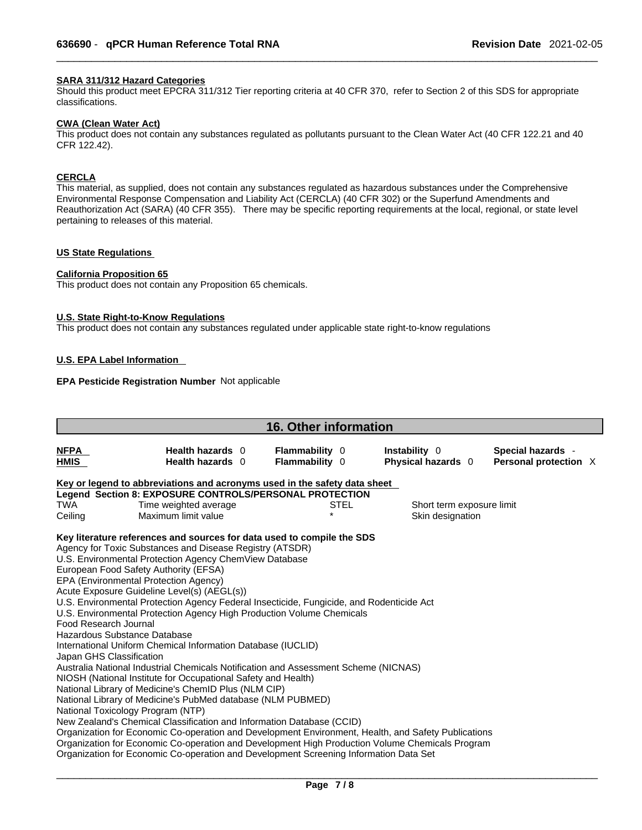#### **SARA 311/312 Hazard Categories**

Should this product meet EPCRA 311/312 Tier reporting criteria at 40 CFR 370, refer to Section 2 of this SDS for appropriate classifications.

#### **CWA (Clean WaterAct)**

This product does not contain any substances regulated as pollutants pursuant to the Clean Water Act (40 CFR 122.21 and 40 CFR 122.42).

### **CERCLA**

This material, as supplied, does not contain any substances regulated as hazardous substances under the Comprehensive Environmental Response Compensation and Liability Act (CERCLA) (40 CFR 302) or the Superfund Amendments and Reauthorization Act (SARA) (40 CFR 355). There may be specific reporting requirements at the local, regional, or state level pertaining to releases of this material.

### **US State Regulations**

#### **California Proposition 65**

This product does not contain any Proposition 65 chemicals.

#### **U.S. State Right-to-Know Regulations**

This product does not contain any substances regulated under applicable state right-to-know regulations

### **U.S. EPA Label Information**

### **EPA Pesticide Registration Number** Not applicable

| <b>16. Other information</b>                                                                                          |                                                                                                                                    |  |                                         |             |                                     |  |                                            |  |  |
|-----------------------------------------------------------------------------------------------------------------------|------------------------------------------------------------------------------------------------------------------------------------|--|-----------------------------------------|-------------|-------------------------------------|--|--------------------------------------------|--|--|
| <b>NFPA</b><br><b>HMIS</b>                                                                                            | Health hazards 0<br>Health hazards 0                                                                                               |  | <b>Flammability 0</b><br>Flammability 0 |             | Instability 0<br>Physical hazards 0 |  | Special hazards -<br>Personal protection X |  |  |
|                                                                                                                       | Key or legend to abbreviations and acronyms used in the safety data sheet                                                          |  |                                         |             |                                     |  |                                            |  |  |
|                                                                                                                       | Legend Section 8: EXPOSURE CONTROLS/PERSONAL PROTECTION                                                                            |  |                                         |             |                                     |  |                                            |  |  |
| <b>TWA</b>                                                                                                            | Time weighted average                                                                                                              |  |                                         | <b>STEL</b> | Short term exposure limit           |  |                                            |  |  |
| Ceiling                                                                                                               | Maximum limit value                                                                                                                |  |                                         |             | Skin designation                    |  |                                            |  |  |
|                                                                                                                       | Key literature references and sources for data used to compile the SDS<br>Agency for Toxic Substances and Disease Registry (ATSDR) |  |                                         |             |                                     |  |                                            |  |  |
| U.S. Environmental Protection Agency ChemView Database<br>European Food Safety Authority (EFSA)                       |                                                                                                                                    |  |                                         |             |                                     |  |                                            |  |  |
| EPA (Environmental Protection Agency)                                                                                 |                                                                                                                                    |  |                                         |             |                                     |  |                                            |  |  |
| Acute Exposure Guideline Level(s) (AEGL(s))                                                                           |                                                                                                                                    |  |                                         |             |                                     |  |                                            |  |  |
| U.S. Environmental Protection Agency Federal Insecticide, Fungicide, and Rodenticide Act                              |                                                                                                                                    |  |                                         |             |                                     |  |                                            |  |  |
|                                                                                                                       | U.S. Environmental Protection Agency High Production Volume Chemicals                                                              |  |                                         |             |                                     |  |                                            |  |  |
| Food Research Journal                                                                                                 |                                                                                                                                    |  |                                         |             |                                     |  |                                            |  |  |
|                                                                                                                       | Hazardous Substance Database                                                                                                       |  |                                         |             |                                     |  |                                            |  |  |
|                                                                                                                       | International Uniform Chemical Information Database (IUCLID)                                                                       |  |                                         |             |                                     |  |                                            |  |  |
| Japan GHS Classification                                                                                              |                                                                                                                                    |  |                                         |             |                                     |  |                                            |  |  |
| Australia National Industrial Chemicals Notification and Assessment Scheme (NICNAS)                                   |                                                                                                                                    |  |                                         |             |                                     |  |                                            |  |  |
| NIOSH (National Institute for Occupational Safety and Health)<br>National Library of Medicine's ChemID Plus (NLM CIP) |                                                                                                                                    |  |                                         |             |                                     |  |                                            |  |  |
| National Library of Medicine's PubMed database (NLM PUBMED)                                                           |                                                                                                                                    |  |                                         |             |                                     |  |                                            |  |  |
|                                                                                                                       | National Toxicology Program (NTP)                                                                                                  |  |                                         |             |                                     |  |                                            |  |  |
|                                                                                                                       | New Zealand's Chemical Classification and Information Database (CCID)                                                              |  |                                         |             |                                     |  |                                            |  |  |
| Organization for Economic Co-operation and Development Environment, Health, and Safety Publications                   |                                                                                                                                    |  |                                         |             |                                     |  |                                            |  |  |
| Organization for Economic Co-operation and Development High Production Volume Chemicals Program                       |                                                                                                                                    |  |                                         |             |                                     |  |                                            |  |  |
| Organization for Economic Co-operation and Development Screening Information Data Set                                 |                                                                                                                                    |  |                                         |             |                                     |  |                                            |  |  |